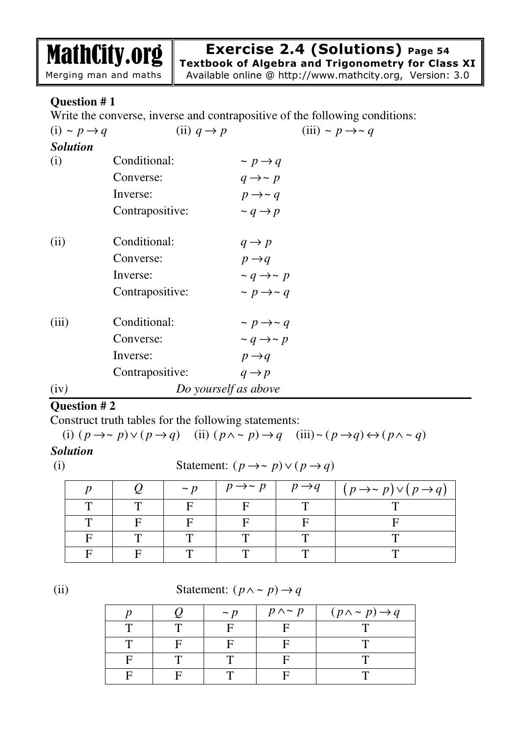**Exercise 2.4 (Solutions) Page 54**

MathCity.org Merging man and maths

**Textbook of Algebra and Trigonometry for Class XI**

Available online @ http://www.mathcity.org, Version: 3.0

## **Question # 1**

Write the converse, inverse and contrapositive of the following conditions:

| $(i) \sim p \rightarrow q$ | (ii) $q \rightarrow p$ |                             | (iii) ~ $p \rightarrow \sim q$ |
|----------------------------|------------------------|-----------------------------|--------------------------------|
| <b>Solution</b>            |                        |                             |                                |
| (i)                        | Conditional:           | $\sim p \rightarrow q$      |                                |
|                            | Converse:              | $q \rightarrow \sim p$      |                                |
|                            | Inverse:               | $p \rightarrow \sim q$      |                                |
|                            | Contrapositive:        | $\sim q \rightarrow p$      |                                |
| (ii)                       | Conditional:           | $q \rightarrow p$           |                                |
|                            | Converse:              | $p \rightarrow q$           |                                |
|                            | Inverse:               | $\sim q \rightarrow \sim p$ |                                |
|                            | Contrapositive:        | $\sim p \rightarrow \sim q$ |                                |
| (iii)                      | Conditional:           | $\sim p \rightarrow \sim q$ |                                |
|                            | Converse:              | $\sim q \rightarrow \sim p$ |                                |
|                            | Inverse:               | $p \rightarrow q$           |                                |
|                            | Contrapositive:        | $q \rightarrow p$           |                                |
| (iv)                       | Do yourself as above   |                             |                                |

### **Question # 2**

Construct truth tables for the following statements:

(i)  $(p \rightarrow \sim p) \vee (p \rightarrow q)$  (ii)  $(p \wedge \sim p) \rightarrow q$  (iii) $\sim (p \rightarrow q) \leftrightarrow (p \wedge \sim q)$ 

### *Solution*

(i) Statement:  $(p \rightarrow \sim p) \lor (p \rightarrow q)$ 

|  | $\sim n$ | $p \rightarrow \sim p$ | $p \rightarrow q$ | $(p \rightarrow \sim p) \vee (p \rightarrow q)$ |
|--|----------|------------------------|-------------------|-------------------------------------------------|
|  |          |                        |                   |                                                 |
|  |          |                        |                   |                                                 |
|  |          |                        |                   |                                                 |
|  |          |                        |                   |                                                 |

(ii) Statement:  $(p \land \sim p) \rightarrow q$ 

|  | $\sim n$ | $p \wedge \sim p$ | $(p \wedge \sim p) \rightarrow q$ |
|--|----------|-------------------|-----------------------------------|
|  |          |                   |                                   |
|  |          |                   |                                   |
|  |          |                   |                                   |
|  |          |                   |                                   |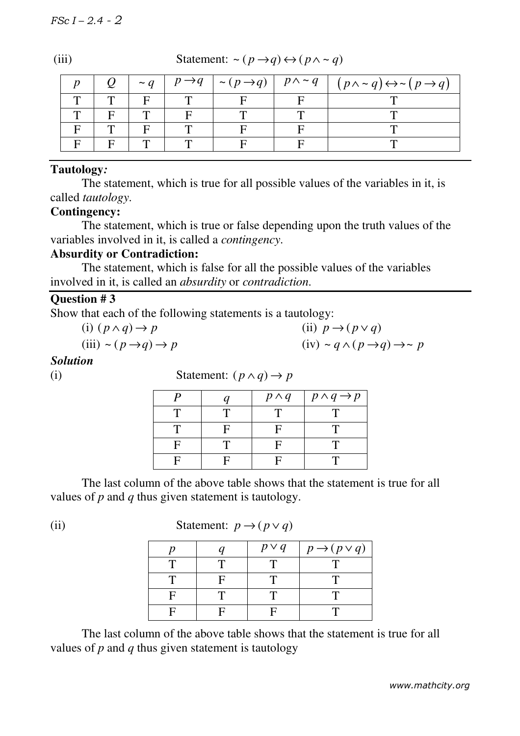| (iii) | Statement: $\sim (p \rightarrow q) \leftrightarrow (p \land \sim q)$ |  |  |  |  |                                                                                                                                        |  |  |
|-------|----------------------------------------------------------------------|--|--|--|--|----------------------------------------------------------------------------------------------------------------------------------------|--|--|
|       |                                                                      |  |  |  |  | $\sim q$   $p \rightarrow q$   $\sim (p \rightarrow q)$   $p \land \sim q$   $(p \land \sim q) \leftrightarrow \sim (p \rightarrow q)$ |  |  |
|       |                                                                      |  |  |  |  |                                                                                                                                        |  |  |
|       |                                                                      |  |  |  |  |                                                                                                                                        |  |  |
|       |                                                                      |  |  |  |  |                                                                                                                                        |  |  |
|       |                                                                      |  |  |  |  |                                                                                                                                        |  |  |

#### **Tautology***:*

The statement, which is true for all possible values of the variables in it, is called *tautology*.

#### **Contingency:**

The statement, which is true or false depending upon the truth values of the variables involved in it, is called a *contingency*.

#### **Absurdity or Contradiction:**

The statement, which is false for all the possible values of the variables involved in it, is called an *absurdity* or *contradiction*.

#### **Question # 3**

Show that each of the following statements is a tautology:

| (i) $(p \land q) \rightarrow p$              | (ii) $p \rightarrow (p \lor q)$                           |
|----------------------------------------------|-----------------------------------------------------------|
| (iii) $\sim (p \rightarrow q) \rightarrow p$ | $(iv) \sim q \wedge (p \rightarrow q) \rightarrow \sim p$ |

#### *Solution*

(i) **Statement:**  $(p \land q) \rightarrow p$  $\overline{p}$   $\overline{p}$   $\overline{p}$   $\overline{p}$   $\overline{p}$   $\overline{p}$   $\overline{p}$   $\overline{p}$   $\overline{p}$   $\overline{p}$   $\overline{p}$   $\overline{p}$   $\overline{p}$   $\overline{p}$   $\overline{p}$   $\overline{p}$   $\overline{p}$   $\overline{p}$   $\overline{p}$   $\overline{p}$   $\overline{p}$   $\overline{p}$   $\overline{p}$   $\overline{p}$   $\overline{$ 

|    |   | $P' \cdot Y$ | $P' \vee P$ |
|----|---|--------------|-------------|
| m  |   |              |             |
|    | E | Е            |             |
| C  |   |              |             |
| E. | Е |              |             |

The last column of the above table shows that the statement is true for all values of *p* and *q* thus given statement is tautology.

(ii) **Statement:**  $p \rightarrow (p \lor q)$ 

 $\overline{\phantom{a}}$ 

 $p \mid q \mid p \vee q \mid p \rightarrow (p \vee q)$  $T$  T T T T  $T$  F T T T  $F \mid T \mid T \mid T$  $F \mid F \mid F \mid T$ 

The last column of the above table shows that the statement is true for all values of *p* and *q* thus given statement is tautology

*www.mathcity.org*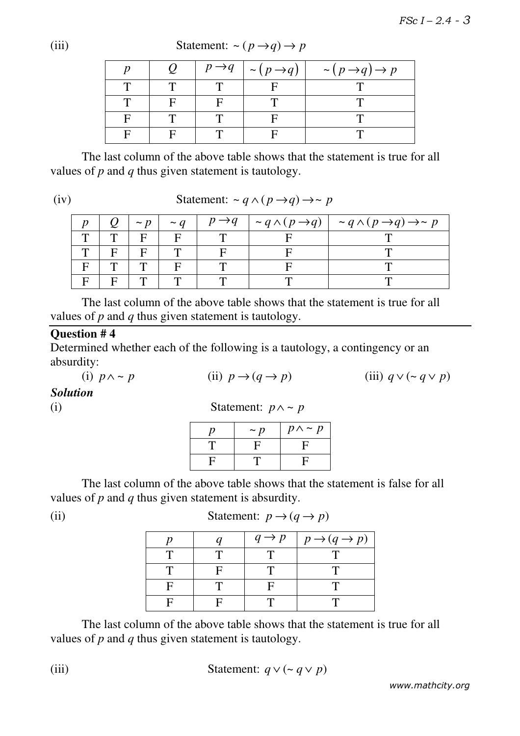$p \mid Q \mid p \rightarrow q \mid \sim (p \rightarrow q) \mid \sim (p \rightarrow q) \rightarrow p$  $T$   $T$   $T$   $F$   $T$  $T$  F F F T T  $F$  | T | T | F | T  $F$  F T F T T

The last column of the above table shows that the statement is true for all values of *p* and *q* thus given statement is tautology.

(iv) **Statement:**  $\sim q \land (p \rightarrow q) \rightarrow \sim p$ 

|  |              | $\vert \sim p \vert$ |  | $\sim q$   $p \rightarrow q$   $\sim q \land (p \rightarrow q)$   $\sim q \land (p \rightarrow q) \rightarrow \sim p$ |
|--|--------------|----------------------|--|-----------------------------------------------------------------------------------------------------------------------|
|  |              | $\mathbf{F}$         |  |                                                                                                                       |
|  | $\mathbf{F}$ | $\mathbf{F}$         |  |                                                                                                                       |
|  |              |                      |  |                                                                                                                       |
|  |              |                      |  |                                                                                                                       |

The last column of the above table shows that the statement is true for all values of *p* and *q* thus given statement is tautology.

## **Question # 4**

Determined whether each of the following is a tautology, a contingency or an absurdity:

(i)  $p \wedge \sim p$  (ii)  $p \rightarrow (q \rightarrow p)$  (iii)  $q \vee (\sim q \vee p)$ 

*Solution* 

| $\rm(i)$ | Statement: $p \wedge \sim p$ |  |  |
|----------|------------------------------|--|--|
|----------|------------------------------|--|--|

| $\sim p$ | $p \wedge \sim p$ |
|----------|-------------------|
| ч        | Li                |
|          |                   |

The last column of the above table shows that the statement is false for all values of *p* and *q* thus given statement is absurdity.

(ii) **Statement:**  $p \rightarrow (q \rightarrow p)$ 

|  | $q \rightarrow p$ | $p \rightarrow (q \rightarrow p)$ |
|--|-------------------|-----------------------------------|
|  |                   |                                   |
|  |                   |                                   |
|  |                   |                                   |
|  |                   |                                   |

The last column of the above table shows that the statement is true for all values of *p* and *q* thus given statement is tautology.

(iii) 
$$
\text{Statement: } q \vee (\sim q \vee p)
$$

*www.mathcity.org* 

(iii) **Statement:**  $\sim (p \rightarrow q) \rightarrow p$